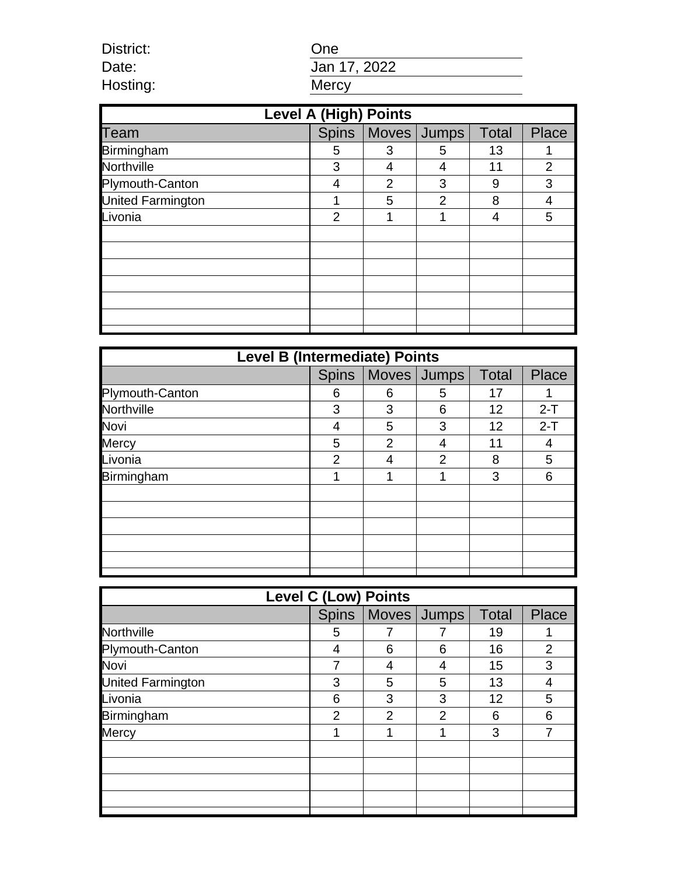District: One Date: Jan 17, 2022<br>Hosting: Wercy

| <b>Level A (High) Points</b> |               |                |                       |              |       |  |  |  |
|------------------------------|---------------|----------------|-----------------------|--------------|-------|--|--|--|
| Team                         |               |                | Spins   Moves   Jumps | <b>Total</b> | Place |  |  |  |
| Birmingham                   | 5             | 3              | 5                     | 13           |       |  |  |  |
| Northville                   | 3             | 4              | 4                     | 11           | 2     |  |  |  |
| Plymouth-Canton              | 4             | $\overline{2}$ | 3                     | 9            | 3     |  |  |  |
| United Farmington            |               | 5              | $\overline{2}$        | 8            | 4     |  |  |  |
| Livonia                      | $\mathcal{P}$ | 1              | 1                     | 4            | 5     |  |  |  |
|                              |               |                |                       |              |       |  |  |  |
|                              |               |                |                       |              |       |  |  |  |
|                              |               |                |                       |              |       |  |  |  |
|                              |               |                |                       |              |       |  |  |  |
|                              |               |                |                       |              |       |  |  |  |
|                              |               |                |                       |              |       |  |  |  |
|                              |               |                |                       |              |       |  |  |  |

Hosting:

| <b>Level B (Intermediate) Points</b> |              |                |   |              |              |  |  |
|--------------------------------------|--------------|----------------|---|--------------|--------------|--|--|
|                                      | <b>Spins</b> | Moves Jumps    |   | <b>Total</b> | <b>Place</b> |  |  |
| Plymouth-Canton                      | 6            | 6              | 5 | 17           |              |  |  |
| Northville                           | 3            | 3              | 6 | 12           | $2-T$        |  |  |
| Novi                                 | 4            | 5              | 3 | 12           | $2-T$        |  |  |
| Mercy                                | 5            | $\overline{2}$ | 4 | 11           | 4            |  |  |
| Livonia                              | 2            | 4              | 2 | 8            | 5            |  |  |
| Birmingham                           | 1            | 1              | 1 | 3            | 6            |  |  |
|                                      |              |                |   |              |              |  |  |
|                                      |              |                |   |              |              |  |  |
|                                      |              |                |   |              |              |  |  |
|                                      |              |                |   |              |              |  |  |
|                                      |              |                |   |              |              |  |  |
|                                      |              |                |   |              |              |  |  |

| <b>Level C (Low) Points</b> |                |                |   |       |                |  |  |
|-----------------------------|----------------|----------------|---|-------|----------------|--|--|
|                             | <b>Spins</b>   | Moves Jumps    |   | Total | Place          |  |  |
| Northville                  | 5              |                |   | 19    | 1              |  |  |
| Plymouth-Canton             | 4              | 6              | 6 | 16    | $\overline{2}$ |  |  |
| Novi                        |                | 4              | 4 | 15    | 3              |  |  |
| United Farmington           | 3              | 5              | 5 | 13    | 4              |  |  |
| Livonia                     | 6              | 3              | 3 | 12    | 5              |  |  |
| Birmingham                  | $\mathfrak{p}$ | $\overline{2}$ | 2 | 6     | 6              |  |  |
| Mercy                       | 1              | 1              | 1 | 3     | ⇁              |  |  |
|                             |                |                |   |       |                |  |  |
|                             |                |                |   |       |                |  |  |
|                             |                |                |   |       |                |  |  |
|                             |                |                |   |       |                |  |  |
|                             |                |                |   |       |                |  |  |